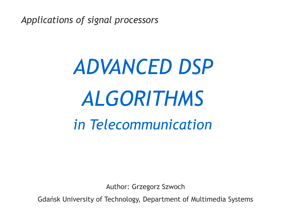*Applications of signal processors*

# *ADVANCED DSP ALGORITHMS in Telecommunication*

Author: Grzegorz Szwoch

Gdańsk University of Technology, Department of Multimedia Systems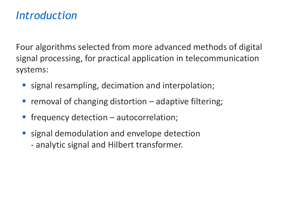#### *Introduction*

Four algorithms selected from more advanced methods of digital signal processing, for practical application in telecommunication systems:

- signal resampling, decimation and interpolation;
- removal of changing distortion  $-$  adaptive filtering;
- $f$ requency detection autocorrelation;
- signal demodulation and envelope detection - analytic signal and Hilbert transformer.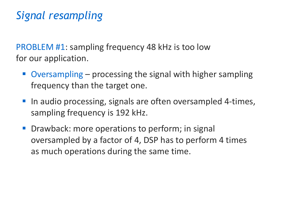# *Signal resampling*

PROBLEM #1: sampling frequency 48 kHz is too low for our application.

- Oversampling  $-$  processing the signal with higher sampling frequency than the target one.
- In audio processing, signals are often oversampled 4-times, sampling frequency is 192 kHz.
- Drawback: more operations to perform; in signal oversampled by a factor of 4, DSP has to perform 4 times as much operations during the same time.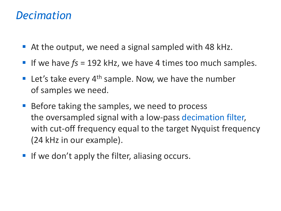#### *Decimation*

- At the output, we need a signal sampled with 48 kHz.
- If we have  $fs = 192$  kHz, we have 4 times too much samples.
- **E** Let's take every  $4<sup>th</sup>$  sample. Now, we have the number of samples we need.
- Before taking the samples, we need to process the oversampled signal with a low-pass decimation filter, with cut-off frequency equal to the target Nyquist frequency (24 kHz in our example).
- **If we don't apply the filter, aliasing occurs.**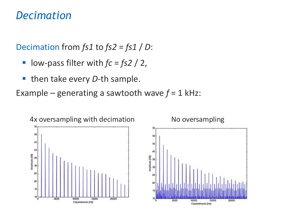#### *Decimation*

Decimation from *fs1* to *fs2* = *fs1* / *D*:

- low-pass filter with  $fc = fs2 / 2$ ,
- then take every *D*-th sample.

Example – generating a sawtooth wave  $f = 1$  kHz:

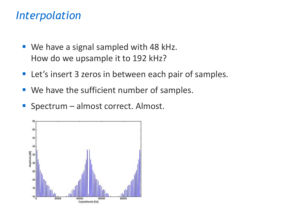#### *Interpolation*

- We have a signal sampled with 48 kHz. How do we upsample it to 192 kHz?
- Let's insert 3 zeros in between each pair of samples.
- We have the sufficient number of samples.
- Spectrum almost correct. Almost.

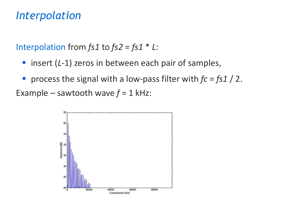#### *Interpolation*

Interpolation from *fs1* to *fs2* = *fs1* \* *L*:

- insert (L-1) zeros in between each pair of samples,
- process the signal with a low-pass filter with  $fc = fs1 / 2$ . Example – sawtooth wave  $f = 1$  kHz:

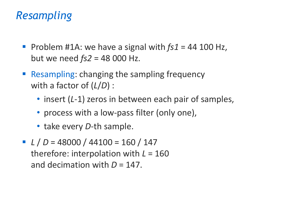## *Resampling*

- Problem #1A: we have a signal with *fs1* = 44 100 Hz, but we need *fs2* = 48 000 Hz.
- Resampling: changing the sampling frequency with a factor of (*L*/*D*) :
	- insert (*L*-1) zeros in between each pair of samples,
	- process with a low-pass filter (only one),
	- take every *D*-th sample.
- $L/D = 48000 / 44100 = 160 / 147$ therefore: interpolation with *L* = 160 and decimation with *D* = 147.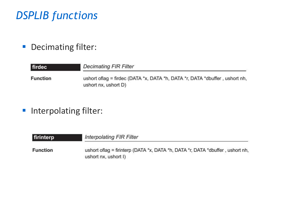# *DSPLIB functions*

**• Decimating filter:** 

| firdec          | <b>Decimating FIR Filter</b>                                                                         |
|-----------------|------------------------------------------------------------------------------------------------------|
| <b>Function</b> | ushort of lag = firdec (DATA *x, DATA *h, DATA *r, DATA *dbuffer, ushort nh,<br>ushort nx, ushort D) |

**·** Interpolating filter:

| firinterp       | <b>Interpolating FIR Filter</b>                                                                         |
|-----------------|---------------------------------------------------------------------------------------------------------|
| <b>Function</b> | ushort of lag = firinterp (DATA *x, DATA *h, DATA *r, DATA *dbuffer, ushort nh,<br>ushort nx, ushort I) |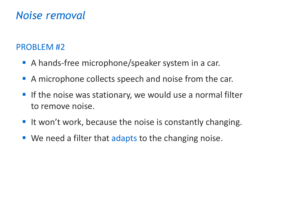# *Noise removal*

#### PROBLEM #2

- **A** hands-free microphone/speaker system in a car.
- A microphone collects speech and noise from the car.
- **If the noise was stationary, we would use a normal filter** to remove noise.
- It won't work, because the noise is constantly changing.
- We need a filter that adapts to the changing noise.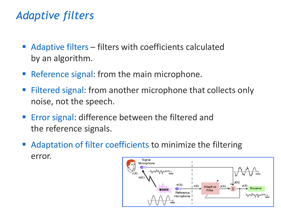# *Adaptive filters*

- Adaptive filters filters with coefficients calculated by an algorithm.
- Reference signal: from the main microphone.
- Filtered signal: from another microphone that collects only noise, not the speech.
- Error signal: difference between the filtered and the reference signals.
- Adaptation of filter coefficients to minimize the filtering error.Signal

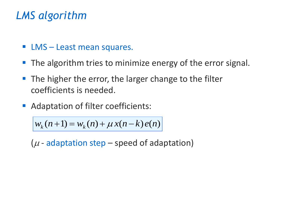# *LMS algorithm*

- **E** LMS Least mean squares.
- The algorithm tries to minimize energy of the error signal.
- The higher the error, the larger change to the filter coefficients is needed.
- Adaptation of filter coefficients:

 $w_k(n+1) = w_k(n) + \mu x(n-k) e(n)$ 

( $\mu$  - adaptation step – speed of adaptation)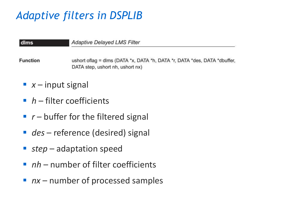# *Adaptive filters in DSPLIB*

| dlms            | <b>Adaptive Delayed LMS Filter</b>                                                                            |
|-----------------|---------------------------------------------------------------------------------------------------------------|
| <b>Function</b> | ushort oflag = dlms (DATA *x, DATA *h, DATA *r, DATA *des, DATA *dbuffer,<br>DATA step, ushort nh, ushort nx) |
|                 | $\bullet$ x – input signal                                                                                    |
|                 | $\blacksquare$ h – filter coefficients                                                                        |

- $\blacksquare$   $r$  buffer for the filtered signal
- *des* reference (desired) signal
- *step* adaptation speed
- *nh* number of filter coefficients
- *nx* number of processed samples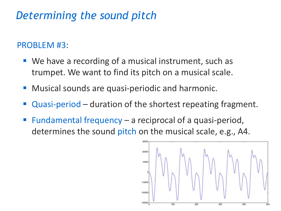# *Determining the sound pitch*

#### PROBLEM #3:

- We have a recording of a musical instrument, such as trumpet. We want to find its pitch on a musical scale.
- Musical sounds are quasi-periodic and harmonic.
- Quasi-period duration of the shortest repeating fragment.
- Fundamental frequency  $-$  a reciprocal of a quasi-period, determines the sound pitch on the musical scale, e.g., A4.

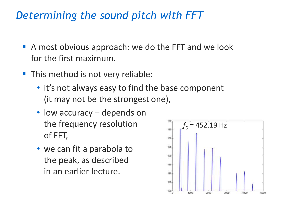## *Determining the sound pitch with FFT*

- A most obvious approach: we do the FFT and we look for the first maximum.
- This method is not very reliable:
	- it's not always easy to find the base component (it may not be the strongest one),
	- low accuracy depends on the frequency resolution of FFT,
	- we can fit a parabola to the peak, as described in an earlier lecture.

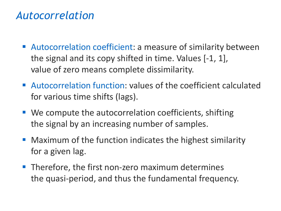#### *Autocorrelation*

- Autocorrelation coefficient: a measure of similarity between the signal and its copy shifted in time. Values [-1, 1], value of zero means complete dissimilarity.
- Autocorrelation function: values of the coefficient calculated for various time shifts (lags).
- We compute the autocorrelation coefficients, shifting the signal by an increasing number of samples.
- Maximum of the function indicates the highest similarity for a given lag.
- **Therefore, the first non-zero maximum determines** the quasi-period, and thus the fundamental frequency.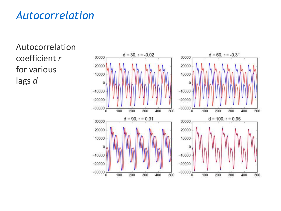## *Autocorrelation*

Autocorrelation coefficient *r* for various lags *d*

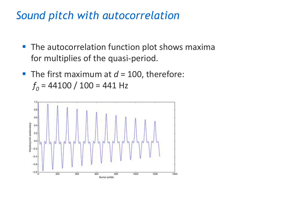#### *Sound pitch with autocorrelation*

- **The autocorrelation function plot shows maxima** for multiplies of the quasi-period.
- **The first maximum at**  $d = 100$ **, therefore:**  $f<sub>0</sub>$  = 44100 / 100 = 441 Hz

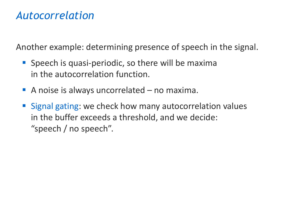#### *Autocorrelation*

Another example: determining presence of speech in the signal.

- **E** Speech is quasi-periodic, so there will be maxima in the autocorrelation function.
- A noise is always uncorrelated no maxima.
- Signal gating: we check how many autocorrelation values in the buffer exceeds a threshold, and we decide: "speech / no speech".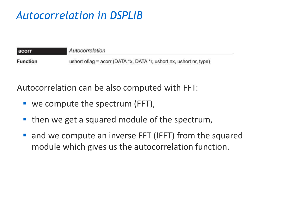# *Autocorrelation in DSPLIB*

| acorr           | Autocorrelation                                                     |
|-----------------|---------------------------------------------------------------------|
| <b>Function</b> | ushort oflag = acorr (DATA *x, DATA *r, ushort nx, ushort nr, type) |

Autocorrelation can be also computed with FFT:

- $\blacksquare$  we compute the spectrum (FFT),
- then we get a squared module of the spectrum,
- and we compute an inverse FFT (IFFT) from the squared module which gives us the autocorrelation function.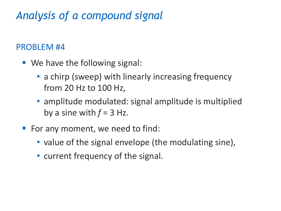# *Analysis of a compound signal*

#### PROBLEM #4

- We have the following signal:
	- a chirp (sweep) with linearly increasing frequency from 20 Hz to 100 Hz,
	- amplitude modulated: signal amplitude is multiplied by a sine with  $f = 3$  Hz.
- For any moment, we need to find:
	- value of the signal envelope (the modulating sine),
	- current frequency of the signal.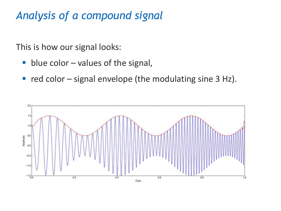# *Analysis of a compound signal*

This is how our signal looks:

- $\blacksquare$  blue color values of the signal,
- $\blacksquare$  red color signal envelope (the modulating sine 3 Hz).

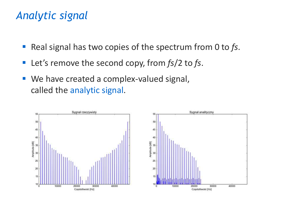## *Analytic signal*

- Real signal has two copies of the spectrum from 0 to fs.
- Let's remove the second copy, from  $fs/2$  to fs.
- We have created a complex-valued signal, called the analytic signal.

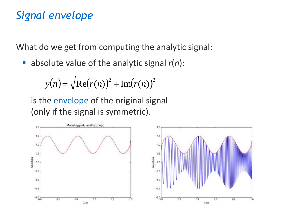# *Signal envelope*

What do we get from computing the analytic signal:

■ absolute value of the analytic signal  $r(n)$ :

$$
y(n) = \sqrt{\text{Re}(r(n))^{2} + \text{Im}(r(n))^{2}}
$$

is the envelope of the original signal (only if the signal is symmetric).

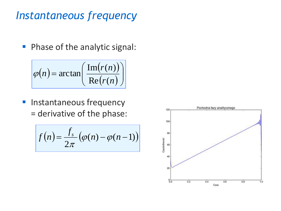## *Instantaneous frequency*

**• Phase of the analytic signal:** 

$$
\varphi(n) = \arctan\left(\frac{\text{Im}(r(n))}{\text{Re}(r(n))}\right)
$$

**·** Instantaneous frequency = derivative of the phase:

$$
f(n) = \frac{f_s}{2\pi} \left( \varphi(n) - \varphi(n-1) \right)
$$

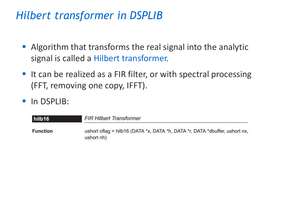## *Hilbert transformer in DSPLIB*

- **E** Algorithm that transforms the real signal into the analytic signal is called a Hilbert transformer.
- It can be realized as a FIR filter, or with spectral processing (FFT, removing one copy, IFFT).
- **·** In DSPLIB:

| hilb16          | <b>FIR Hilbert Transformer</b>                                                            |
|-----------------|-------------------------------------------------------------------------------------------|
| <b>Function</b> | ushort oflag = hilb16 (DATA *x, DATA *h, DATA *r, DATA *dbuffer, ushort nx,<br>ushort nh) |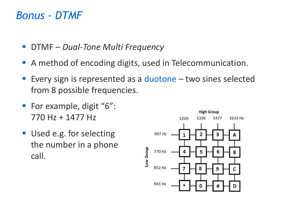#### *Bonus - DTMF*

- DTMF *Dual-Tone Multi Frequency*
- A method of encoding digits, used in Telecommunication.
- Every sign is represented as a duotone  $-$  two sines selected from 8 possible frequencies.
- For example, digit "6": 770 Hz + 1477 Hz
- Used e.g. for selecting the number in a phone call.